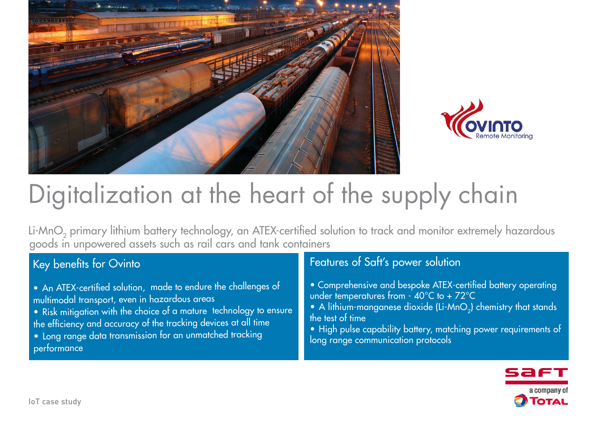



# Digitalization at the heart of the supply chain

Li-MnO<sub>2</sub> primary lithium battery technology, an ATEX-certified solution to track and monitor extremely hazardous goods in unpowered assets such as rail cars and tank containers

## Key benefits for Ovinto

- An ATEX-certified solution, made to endure the challenges of multimodal transport, even in hazardous areas
- Risk mitigation with the choice of a mature technology to ensure the efficiency and accuracy of the tracking devices at all time
- Long range data transmission for an unmatched tracking performance

### Features of Saft's power solution

- Comprehensive and bespoke ATEX-certified battery operating under temperatures from  $-40^{\circ}$ C to  $+72^{\circ}$ C
- A lithium-manganese dioxide (Li-MnO<sub>2</sub>) chemistry that stands the test of time
- High pulse capability battery, matching power requirements of long range communication protocols